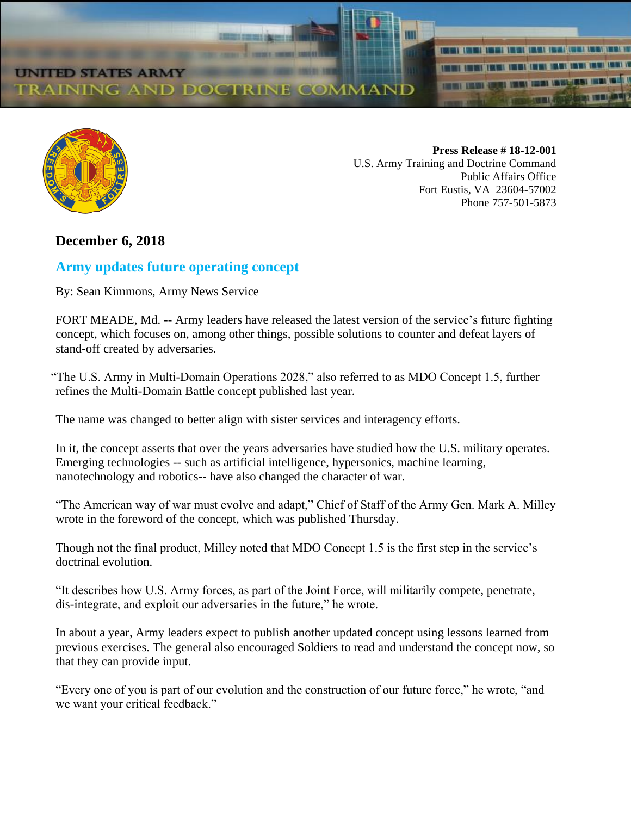## **ED STATES ARM**

AINING AND DOCTRINE COMMAND



**Press Release # 18-12-001** U.S. Army Training and Doctrine Command Public Affairs Office Fort Eustis, VA 23604-57002 Phone 757-501-5873

## **December 6, 2018**

## **[Army updates future operating concept](https://www.army.mil/article/214632/army_updates_future_operating_concept)**

By: Sean Kimmons, Army News Service

FORT MEADE, Md. -- Army leaders have released the latest version of the service's future fighting concept, which focuses on, among other things, possible solutions to counter and defeat layers of stand-off created by adversaries.

"The U.S. Army in Multi-Domain Operations 2028," also referred to as MDO Concept 1.5, further refines the Multi-Domain Battle concept published last year.

The name was changed to better align with sister services and interagency efforts.

In it, the concept asserts that over the years adversaries have studied how the U.S. military operates. Emerging technologies -- such as artificial intelligence, hypersonics, machine learning, nanotechnology and robotics-- have also changed the character of war.

"The American way of war must evolve and adapt," Chief of Staff of the Army Gen. Mark A. Milley wrote in the foreword of the concept, which was published Thursday.

Though not the final product, Milley noted that MDO Concept 1.5 is the first step in the service's doctrinal evolution.

"It describes how U.S. Army forces, as part of the Joint Force, will militarily compete, penetrate, dis-integrate, and exploit our adversaries in the future," he wrote.

In about a year, Army leaders expect to publish another updated concept using lessons learned from previous exercises. The general also encouraged Soldiers to read and understand the concept now, so that they can provide input.

"Every one of you is part of our evolution and the construction of our future force," he wrote, "and we want your critical feedback."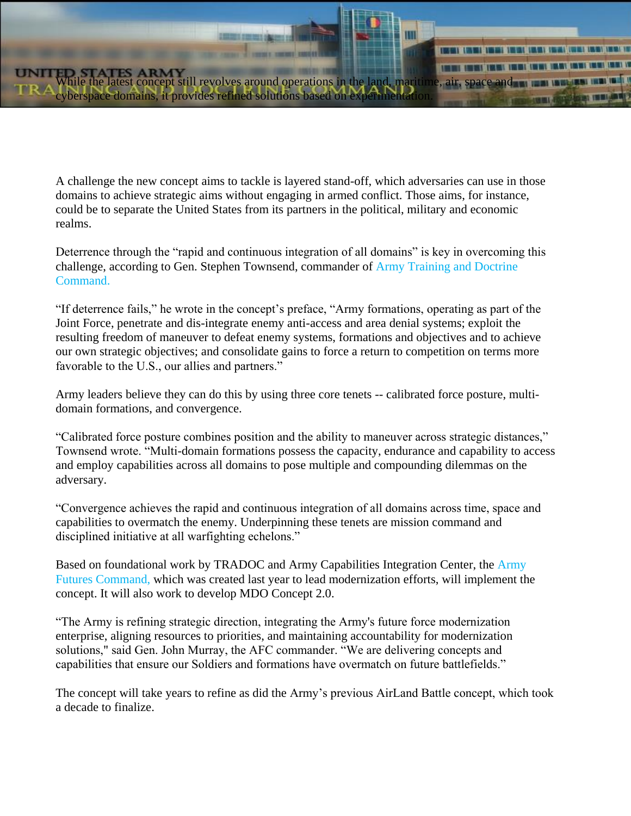A challenge the new concept aims to tackle is layered stand-off, which adversaries can use in those domains to achieve strategic aims without engaging in armed conflict. Those aims, for instance, could be to separate the United States from its partners in the political, military and economic realms.

he latest concept still revolves around operations in the land, maritime, air, space and

cyberspace domains, it provides refined solutions based on ex

Deterrence through the "rapid and continuous integration of all domains" is key in overcoming this challenge, according to Gen. Stephen Townsend, commander of [Army Training and Doctrine](https://www.tradoc.army.mil/)  [Command.](https://www.tradoc.army.mil/)

"If deterrence fails," he wrote in the concept's preface, "Army formations, operating as part of the Joint Force, penetrate and dis-integrate enemy anti-access and area denial systems; exploit the resulting freedom of maneuver to defeat enemy systems, formations and objectives and to achieve our own strategic objectives; and consolidate gains to force a return to competition on terms more favorable to the U.S., our allies and partners."

Army leaders believe they can do this by using three core tenets -- calibrated force posture, multidomain formations, and convergence.

"Calibrated force posture combines position and the ability to maneuver across strategic distances," Townsend wrote. "Multi-domain formations possess the capacity, endurance and capability to access and employ capabilities across all domains to pose multiple and compounding dilemmas on the adversary.

"Convergence achieves the rapid and continuous integration of all domains across time, space and capabilities to overmatch the enemy. Underpinning these tenets are mission command and disciplined initiative at all warfighting echelons."

Based on foundational work by TRADOC and Army Capabilities Integration Center, the [Army](https://armyfuturescommand.com/)  [Futures Command,](https://armyfuturescommand.com/) which was created last year to lead modernization efforts, will implement the concept. It will also work to develop MDO Concept 2.0.

"The Army is refining strategic direction, integrating the Army's future force modernization enterprise, aligning resources to priorities, and maintaining accountability for modernization solutions," said Gen. John Murray, the AFC commander. "We are delivering concepts and capabilities that ensure our Soldiers and formations have overmatch on future battlefields."

The concept will take years to refine as did the Army's previous AirLand Battle concept, which took a decade to finalize.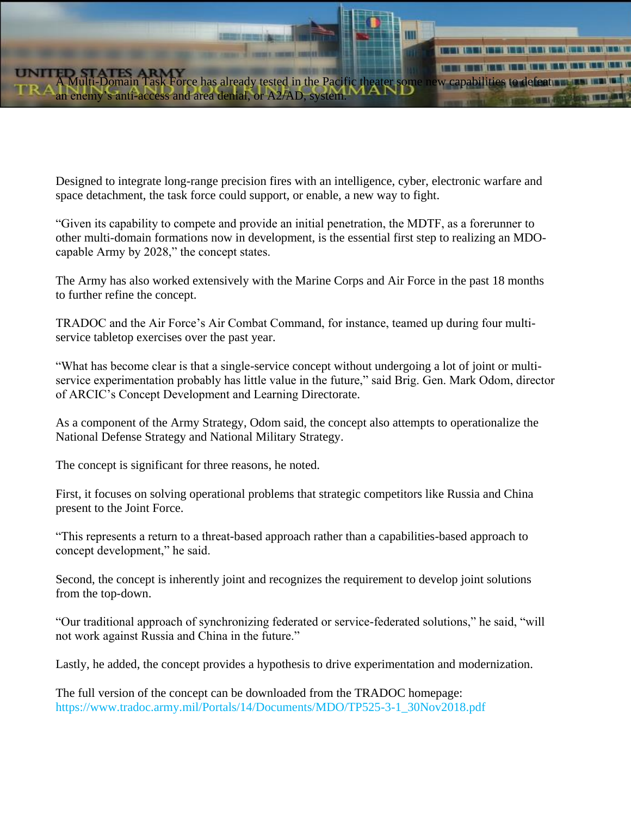Designed to integrate long-range precision fires with an intelligence, cyber, electronic warfare and space detachment, the task force could support, or enable, a new way to fight.

omain Task Force has already tested in the Pacific theater some new capabilities to defe

"Given its capability to compete and provide an initial penetration, the MDTF, as a forerunner to other multi-domain formations now in development, is the essential first step to realizing an MDOcapable Army by 2028," the concept states.

The Army has also worked extensively with the Marine Corps and Air Force in the past 18 months to further refine the concept.

TRADOC and the Air Force's Air Combat Command, for instance, teamed up during four multiservice tabletop exercises over the past year.

"What has become clear is that a single-service concept without undergoing a lot of joint or multiservice experimentation probably has little value in the future," said Brig. Gen. Mark Odom, director of ARCIC's Concept Development and Learning Directorate.

As a component of the Army Strategy, Odom said, the concept also attempts to operationalize the National Defense Strategy and National Military Strategy.

The concept is significant for three reasons, he noted.

an enemy's anti-access and area denial, or A2/AD, system.

First, it focuses on solving operational problems that strategic competitors like Russia and China present to the Joint Force.

"This represents a return to a threat-based approach rather than a capabilities-based approach to concept development," he said.

Second, the concept is inherently joint and recognizes the requirement to develop joint solutions from the top-down.

"Our traditional approach of synchronizing federated or service-federated solutions," he said, "will not work against Russia and China in the future."

Lastly, he added, the concept provides a hypothesis to drive experimentation and modernization.

The full version of the concept can be downloaded from the TRADOC homepage: [https://www.tradoc.army.mil/Portals/14/Documents/MDO/TP525-3-1\\_30Nov2018.pdf](https://www.tradoc.army.mil/Portals/14/Documents/MDO/TP525-3-1_30Nov2018.pdf)